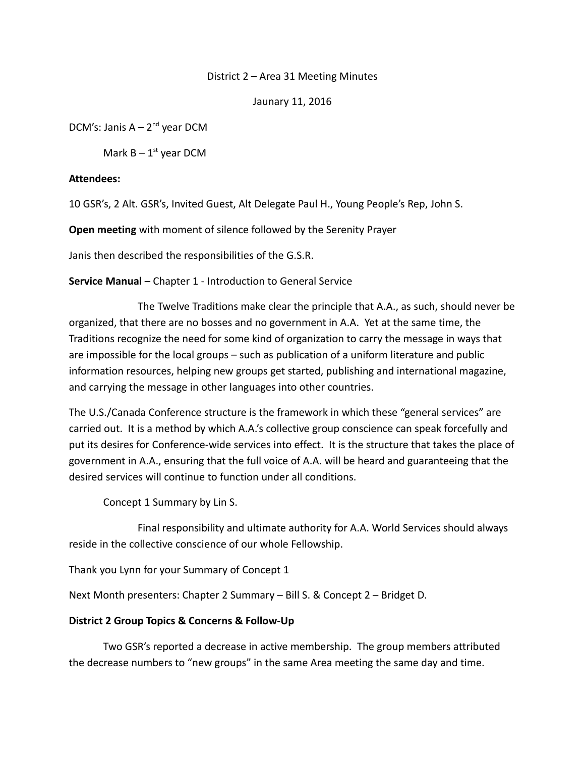### District 2 – Area 31 Meeting Minutes

Jaunary 11, 2016

DCM's: Janis  $A - 2^{nd}$  year DCM

Mark  $B - 1<sup>st</sup>$  year DCM

#### **Attendees:**

10 GSR's, 2 Alt. GSR's, Invited Guest, Alt Delegate Paul H., Young People's Rep, John S.

**Open meeting** with moment of silence followed by the Serenity Prayer

Janis then described the responsibilities of the G.S.R.

**Service Manual** – Chapter 1 - Introduction to General Service

The Twelve Traditions make clear the principle that A.A., as such, should never be organized, that there are no bosses and no government in A.A. Yet at the same time, the Traditions recognize the need for some kind of organization to carry the message in ways that are impossible for the local groups – such as publication of a uniform literature and public information resources, helping new groups get started, publishing and international magazine, and carrying the message in other languages into other countries.

The U.S./Canada Conference structure is the framework in which these "general services" are carried out. It is a method by which A.A.'s collective group conscience can speak forcefully and put its desires for Conference-wide services into effect. It is the structure that takes the place of government in A.A., ensuring that the full voice of A.A. will be heard and guaranteeing that the desired services will continue to function under all conditions.

Concept 1 Summary by Lin S.

Final responsibility and ultimate authority for A.A. World Services should always reside in the collective conscience of our whole Fellowship.

Thank you Lynn for your Summary of Concept 1

Next Month presenters: Chapter 2 Summary – Bill S. & Concept 2 – Bridget D.

## **District 2 Group Topics & Concerns & Follow-Up**

Two GSR's reported a decrease in active membership. The group members attributed the decrease numbers to "new groups" in the same Area meeting the same day and time.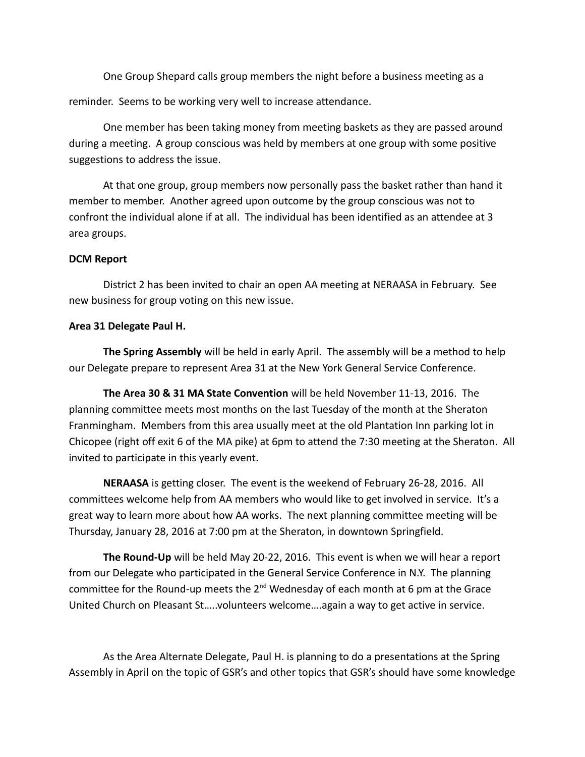One Group Shepard calls group members the night before a business meeting as a reminder. Seems to be working very well to increase attendance.

One member has been taking money from meeting baskets as they are passed around during a meeting. A group conscious was held by members at one group with some positive suggestions to address the issue.

At that one group, group members now personally pass the basket rather than hand it member to member. Another agreed upon outcome by the group conscious was not to confront the individual alone if at all. The individual has been identified as an attendee at 3 area groups.

#### **DCM Report**

District 2 has been invited to chair an open AA meeting at NERAASA in February. See new business for group voting on this new issue.

#### **Area 31 Delegate Paul H.**

**The Spring Assembly** will be held in early April. The assembly will be a method to help our Delegate prepare to represent Area 31 at the New York General Service Conference.

**The Area 30 & 31 MA State Convention** will be held November 11-13, 2016. The planning committee meets most months on the last Tuesday of the month at the Sheraton Franmingham. Members from this area usually meet at the old Plantation Inn parking lot in Chicopee (right off exit 6 of the MA pike) at 6pm to attend the 7:30 meeting at the Sheraton. All invited to participate in this yearly event.

**NERAASA** is getting closer. The event is the weekend of February 26-28, 2016. All committees welcome help from AA members who would like to get involved in service. It's a great way to learn more about how AA works. The next planning committee meeting will be Thursday, January 28, 2016 at 7:00 pm at the Sheraton, in downtown Springfield.

**The Round-Up** will be held May 20-22, 2016. This event is when we will hear a report from our Delegate who participated in the General Service Conference in N.Y. The planning committee for the Round-up meets the  $2^{nd}$  Wednesday of each month at 6 pm at the Grace United Church on Pleasant St…..volunteers welcome….again a way to get active in service.

As the Area Alternate Delegate, Paul H. is planning to do a presentations at the Spring Assembly in April on the topic of GSR's and other topics that GSR's should have some knowledge